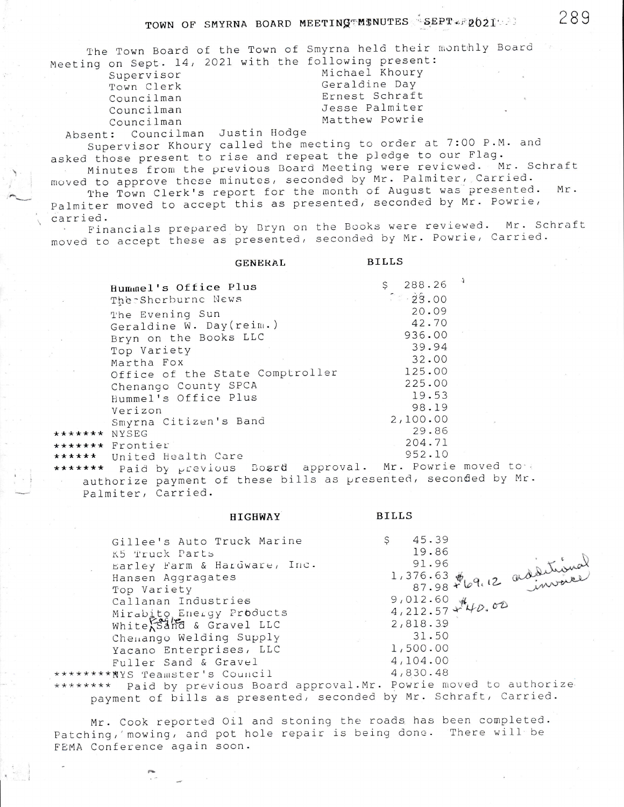## TOWN OF SMYRNA BOARD MEETING MINUTES SEPT FROOT

The Town Board of the Town of Smyrna held their monthly Board Meeting on Sept. 14, 2021 with the following present:

Supervisor Town Clerk Councilman Councilman Councilman Michael Khoury Geraldine Day Ernest Schraft Jesse Palmiter Matthew Powrie

Absent: Councilman Justin Hodge

Supervisor Khoury called the mecting to order at 7:00 P.M. and asked those present to rise and repeat the pledge to our Flag. Minutes from the previous Board Meeting were reviewed. Mr. Schraft

moved to approve these minutes, seconded by Mr. Palmiter, Carried. The Town Clerk's report for the month of August was presented.  $Mr.$ Palmiter moved to accept this as presented, seconded by Mr. Powrie,

carried. Financials prepared by Bryn on the Books were reviewed. Mr. Schraft moved to accept these as presented, seconded by Mr. Powrie, Carried.

|              | GENERAL                         | <b>BILLS</b>           |  |
|--------------|---------------------------------|------------------------|--|
|              | Hummel's Office Plus            | $$288.26$ <sup>1</sup> |  |
| $\vec{x}$    | The Sherburne News              | 7.29.00                |  |
|              | The Evening Sun                 | 20.09                  |  |
|              | Geraldine W. Day(reim.)         | 42.70                  |  |
|              | Bryn on the Books LLC           | 936.00                 |  |
|              | Top Variety                     | 39.94                  |  |
|              | Martha Fox                      | 32.00                  |  |
|              | Office of the State Comptroller | 125.00                 |  |
|              | Chenango County SPCA            | 225.00                 |  |
|              | Hummel's Office Plus            | 19.53                  |  |
|              | Verizon                         | 98.19                  |  |
|              | Smyrna Citizen's Band           | 2,100.00               |  |
| ****** NYSEG |                                 | 29.86                  |  |
|              | ****** Frontier                 | 204.71<br>952.10       |  |
|              | ***** United Health Care        |                        |  |

**HIGHWAY** 

\*\*\*\*\*\*\* Paid by previous Bosrd approval. Mr. Powrie moved to authorize payment of these bills as presented, seconded by Mr. Palmiter, Carried.

|                                                      | Gillee's Auto Truck Marine   |  | 45.39             |                        |                            |  |
|------------------------------------------------------|------------------------------|--|-------------------|------------------------|----------------------------|--|
| K5 Truck Parts                                       |                              |  | 19.86             |                        |                            |  |
|                                                      | Earley Farm & Hardware, Inc. |  |                   |                        |                            |  |
| Hansen Aggragates                                    |                              |  | $1,376.63$ $\phi$ |                        | 87.98 F69.12 additional    |  |
| Top Variety                                          |                              |  |                   |                        |                            |  |
| Callanan Industries                                  |                              |  | $9,012.60$ #      |                        |                            |  |
|                                                      | Mirabito Energy Products     |  |                   | $4,212.57$ or $470.02$ |                            |  |
| White $s$ and $s$ Gravel LLC                         |                              |  | 2,818.39          |                        |                            |  |
| Chemango Welding Supply                              |                              |  | 31.50             |                        |                            |  |
| Yacano Enterprises, LLC                              |                              |  | 1,500.00          |                        |                            |  |
| Fuller Sand & Gravel                                 |                              |  | 4,104.00          |                        |                            |  |
| ******** NYS Teamster's Council                      |                              |  | 4,830.48          |                        |                            |  |
| $x + y + y + z$ Deid by providing Poord approval Mr. |                              |  |                   |                        | Pourie moved to authorize. |  |

**BILLS** 

\*\*\*\*\*\*\*\* Paid by previous Board approval.Mr. Powrie moved to authorize payment of bills as presented, seconded by Mr. Schraft, Carried.

Mr. Cook reported Oil and stoning the roads has been completed. Patching, mowing, and pot hole repair is being done. There will be FEMA Conference again soon.